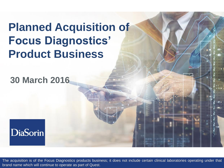## **Planned Acquisition of Focus Diagnostics' Product Business**

### **30 March 2016**



The acquisition is of the Focus Diagnostics products business; it does not include certain clinical laboratories operating under that brand name which will continue to operate as part of Quest.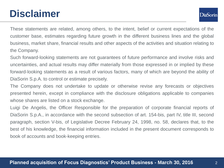## **Disclaimer**

**DiaSorin** 

These statements are related, among others, to the intent, belief or current expectations of the customer base, estimates regarding future growth in the different business lines and the global business, market share, financial results and other aspects of the activities and situation relating to the Company.

Such forward-looking statements are not guarantees of future performance and involve risks and uncertainties, and actual results may differ materially from those expressed in or implied by these forward-looking statements as a result of various factors, many of which are beyond the ability of DiaSorin S.p.A. to control or estimate precisely.

The Company does not undertake to update or otherwise revise any forecasts or objectives presented herein, except in compliance with the disclosure obligations applicable to companies whose shares are listed on a stock exchange.

Luigi De Angelis, the Officer Responsible for the preparation of corporate financial reports of DiaSorin S.p.A., in accordance with the second subsection of art. 154-bis, part IV, title III, second paragraph, section V-bis, of Legislative Decree February 24, 1998, no. 58, declares that, to the best of his knowledge, the financial information included in the present document corresponds to book of accounts and book-keeping entries.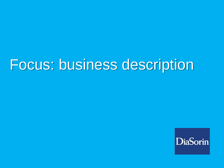# Focus: business description

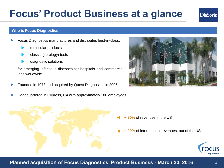### **Planned acquisition of Focus Diagnostics' Product Business - March 30, 2016**

## **Focus' Product Business at a glance**

### **Who is Focus Diagnostics**

- Focus Diagnostics manufactures and distributes best-in-class:
	- molecular products
	- classic (serology) tests
	- diagnostic solutions

for emerging infectious diseases for hospitals and commercial labs worldwide

- Founded in 1978 and acquired by Quest Diagnostics in 2006
- Headquartered in Cypress, CA with approximately 180 employees

- **~ 80%** of revenues in the US
- **~ 20%** of international revenues, out of the US





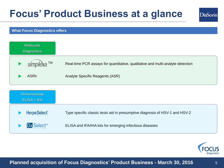## **Focus' Product Business at a glance**

## **DiaSorin**

### **What Focus Diagnostics offers**

| <b>Molecular</b><br><b>Diagnostics</b> |                                                                                |
|----------------------------------------|--------------------------------------------------------------------------------|
| simplexa.™                             | Real-time PCR assays for quantitative, qualitative and multi-analyte detection |
| <b>ASRs</b>                            | Analyte Specific Reagents (ASR)                                                |
| Immunoassay<br><b>ELISA + IFA</b>      |                                                                                |
| <b>HerpeSelect®</b>                    |                                                                                |
|                                        | Type specific classic tests aid in presumptive diagnosis of HSV-1 and HSV-2    |



### **Title of presentation Planned acquisition of Focus Diagnostics' Product Business - March 30, 2016** 5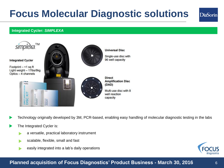## **Focus Molecular Diagnostic solutions**

### **Integrated Cycler:** *SIMPLEXA*



Technology originally developed by 3M, PCR-based, enabling easy handling of molecular diagnostic testing in the labs

- The Integrated Cycler is:
	- a versatile, practical laboratory instrument
	- scalable, flexible, small and fast
	- easily integrated into a lab's daily operations



**DiaSorin** 

### **Title of presentation Planned acquisition of Focus Diagnostics' Product Business - March 30, 2016** 6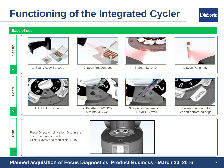## **Functioning of the Integrated Cycler**



### **Ease of use**



 $\leftarrow$ 

**Load**

**2**

**Run**

**3** 



1. Scan Assay Barcode 2. Scan Reagent Lot 3. Scan DAD ID 4. Scan Patient ID











1. Lift foil from wells 2. Pipette REACTION Mix into «R» well



3. Pipette specimen into «SAMPLE» well



4. Re-seal wells with foil. Tear off perforated edge

Place Direct Amplification Disc in the instrument and close lid. Click «Save» and then click «Run»



**Title of presentation Planned acquisition of Focus Diagnostics' Product Business - March 30, 2016** 7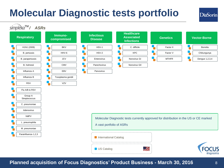## **Molecular Diagnostic tests portfolio**

**DiaSorin** 



**Planned acquisition of Focus Diagnostics' Product Business - March 30, 2016** 8

US Catalog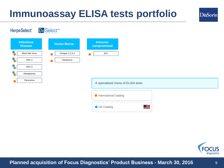## **Immunoassay ELISA tests portfolio**





**DiaSorin**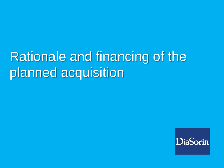# Rationale and financing of the planned acquisition

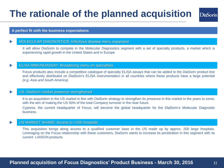## **The rationale of the planned acquisition**

### DiaSorin

### **A perfect fit with the business expectations**

### MOLECULAR DIAGNOSTICS: Infectious disease menu expansion

It will allow DiaSorin to compete in the Molecular Diagnostics segment with a set of specialty products, a market which is experiencing rapid growth in the United States and in Europe

### ELISA IMMUNOASSAY: Broadening menu on specialties

Focus products also include a competitive catalogue of specialty ELISA assays that can be added to the DiaSorin product line and effectively distributed on DiaSorin's ELISA instrumentation in all countries where these products have a large potential *(e.g. Asia and South America)*

### US: DiaSorin market presence strengthened

It is an acquisition in the US market in line with DiaSorin strategy to strengthen its presence in this market in the years to come, with the aim of making the US 50% of the total Company turnover in the near future.

Cypress, the current headquarter of Focus, will become the global headquarter for the DiaSorin's Molecular Diagnostic business.

### US MARKET SHARE: Access to >200 hospitals

This acquisition brings along access to a qualified customer base in the US made up by approx. 200 large hospitals. Leveraging on the Focus relationship with these customers, DiaSorin wants to increase its penetration in this segment with its current LIAISON products

### **Planned acquisition of Focus Diagnostics' Product Business - March 30, 2016** 11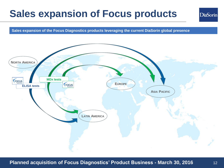## **Sales expansion of Focus products**

**DiaSorin** 

**Sales expansion of the Focus Diagnostics products leveraging the current DiaSorin global presence**

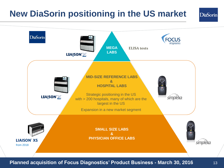## **New DiaSorin positioning in the US market**



**Planned acquisition of Focus Diagnostics' Product Business - March 30, 2016** 13

**DiaSorin**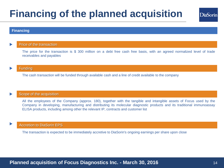## **Financing of the planned acquisition**

### **Financing**

### Price of the transaction

The price for the transaction is \$ 300 million on a debt free cash free basis, with an agreed normalized level of trade receivables and payables

#### **Funding**

The cash transaction will be funded through available cash and a line of credit available to the company

### Scope of the acquisition

All the employees of the Company (approx. 180), together with the tangible and intangible assets of Focus used by the Company in developing, manufacturing and distributing its molecular diagnostic products and its traditional immunoassay ELISA products, including among other the relevant IP, contracts and customer list

#### Accretion to DiaSorin EPS

The transaction is expected to be immediately accretive to DiaSorin's ongoing earnings per share upon close

### **Planned acquisition of Focus Diagnostics Inc. - March 30, 2016** 1997 14

**DiaSorin**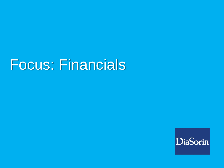# Focus: Financials

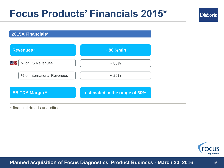## **Focus Products' Financials 2015\***

**2015A Financials\***



\* financial data is unaudited